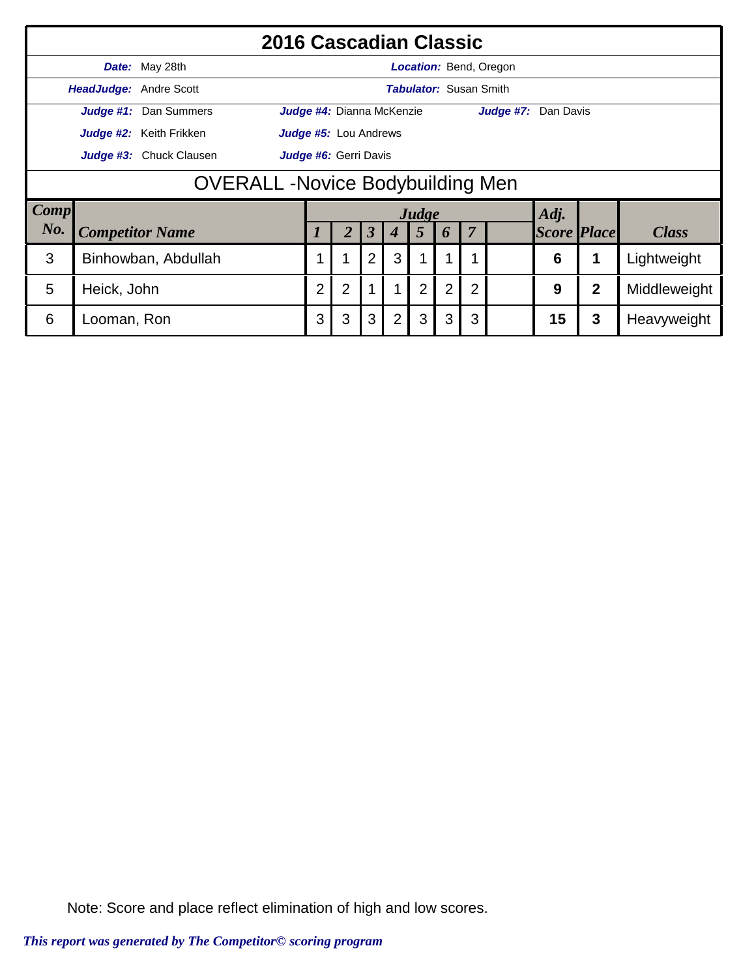|             |                                        | 2016 Cascadian Classic        |                                                                                                                  |                              |                      |                  |                               |   |                |                        |                    |   |              |  |  |
|-------------|----------------------------------------|-------------------------------|------------------------------------------------------------------------------------------------------------------|------------------------------|----------------------|------------------|-------------------------------|---|----------------|------------------------|--------------------|---|--------------|--|--|
|             |                                        | <b>Date:</b> May 28th         |                                                                                                                  |                              |                      |                  |                               |   |                | Location: Bend, Oregon |                    |   |              |  |  |
|             |                                        | <b>HeadJudge: Andre Scott</b> |                                                                                                                  |                              |                      |                  | <b>Tabulator: Susan Smith</b> |   |                |                        |                    |   |              |  |  |
|             |                                        | Judge #1: Dan Summers         |                                                                                                                  | Judge #4: Dianna McKenzie    |                      |                  |                               |   |                | Judge #7: Dan Davis    |                    |   |              |  |  |
|             |                                        | Judge #2: Keith Frikken       |                                                                                                                  | <b>Judge #5:</b> Lou Andrews |                      |                  |                               |   |                |                        |                    |   |              |  |  |
|             |                                        | Judge #3: Chuck Clausen       | Judge #6: Gerri Davis                                                                                            |                              |                      |                  |                               |   |                |                        |                    |   |              |  |  |
|             | <b>OVERALL-Novice Bodybuilding Men</b> |                               |                                                                                                                  |                              |                      |                  |                               |   |                |                        |                    |   |              |  |  |
| <b>Comp</b> |                                        |                               |                                                                                                                  |                              |                      |                  | Judge                         |   |                |                        | Adj.               |   |              |  |  |
| No.         |                                        | <b>Competitor Name</b>        |                                                                                                                  | $\overline{2}$               | $\boldsymbol{\beta}$ | $\boldsymbol{4}$ | 5                             | 6 | $\overline{7}$ |                        | <b>Score Place</b> |   | <b>Class</b> |  |  |
| 3           |                                        | Binhowban, Abdullah           | $\overline{2}$<br>3<br>6<br>Lightweight                                                                          |                              |                      |                  |                               |   |                |                        |                    |   |              |  |  |
| 5           | Heick, John                            |                               | $\overline{2}$<br>$\overline{2}$<br>$\overline{2}$<br>2<br>$\overline{2}$<br>$\overline{2}$<br>9<br>Middleweight |                              |                      |                  |                               |   |                |                        |                    |   |              |  |  |
| 6           | Looman, Ron                            |                               | 3                                                                                                                | 3                            | 3                    | $\overline{2}$   | 3                             | 3 | 3              |                        | 15                 | 3 | Heavyweight  |  |  |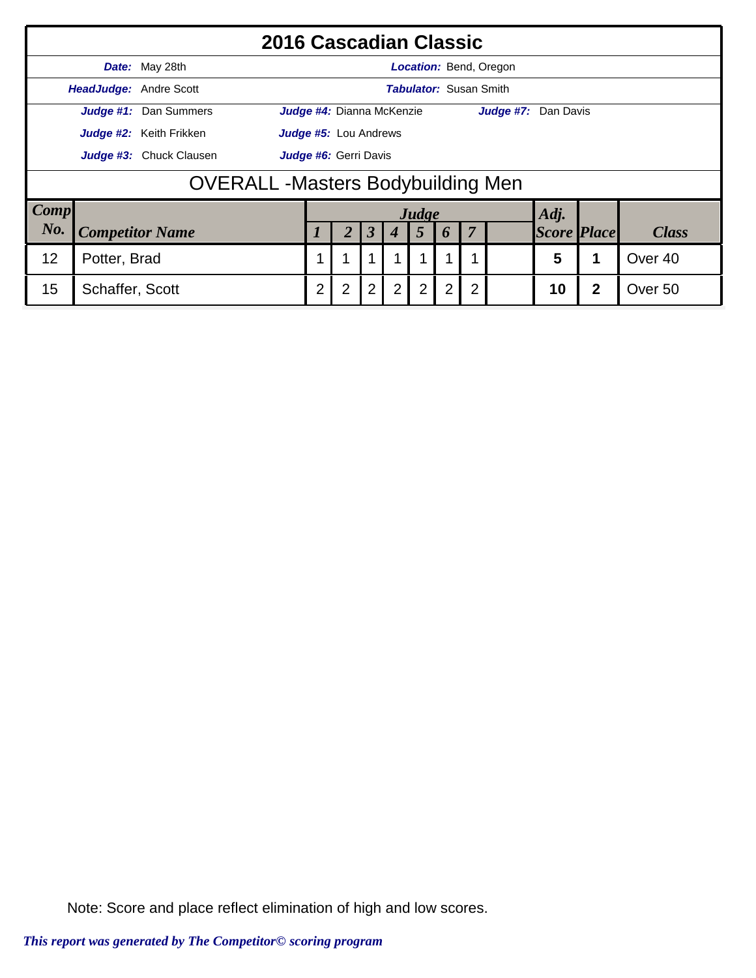|             |                                                  | 2016 Cascadian Classic        |                                                       |                              |                      |             |       |                |                               |                        |                    |   |              |  |
|-------------|--------------------------------------------------|-------------------------------|-------------------------------------------------------|------------------------------|----------------------|-------------|-------|----------------|-------------------------------|------------------------|--------------------|---|--------------|--|
|             |                                                  | <b>Date:</b> May 28th         |                                                       |                              |                      |             |       |                |                               | Location: Bend, Oregon |                    |   |              |  |
|             |                                                  | <b>HeadJudge:</b> Andre Scott |                                                       |                              |                      |             |       |                | <b>Tabulator: Susan Smith</b> |                        |                    |   |              |  |
|             |                                                  | Judge #1: Dan Summers         |                                                       | Judge #4: Dianna McKenzie    |                      |             |       |                |                               | Judge #7: Dan Davis    |                    |   |              |  |
|             |                                                  | Judge #2: Keith Frikken       |                                                       | <b>Judge #5:</b> Lou Andrews |                      |             |       |                |                               |                        |                    |   |              |  |
|             | Judge #3: Chuck Clausen<br>Judge #6: Gerri Davis |                               |                                                       |                              |                      |             |       |                |                               |                        |                    |   |              |  |
|             | <b>OVERALL-Masters Bodybuilding Men</b>          |                               |                                                       |                              |                      |             |       |                |                               |                        |                    |   |              |  |
| <b>Comp</b> |                                                  |                               |                                                       |                              |                      |             | Judge |                |                               |                        | Adj.               |   |              |  |
| No.         |                                                  | <b>Competitor Name</b>        |                                                       |                              | $\boldsymbol{\beta}$ |             | 5     | 6              | 7                             |                        | <b>Score Place</b> |   | <b>Class</b> |  |
| 12          | Potter, Brad                                     |                               | 1<br>5<br>1<br>Over <sub>40</sub><br>1<br>1<br>1<br>4 |                              |                      |             |       |                |                               |                        |                    |   |              |  |
| 15          | Schaffer, Scott                                  |                               | $\overline{2}$                                        | $\overline{2}$               | $\overline{2}$       | $2^{\circ}$ | 2     | $\overline{2}$ | $\overline{2}$                |                        | 10                 | 2 | Over 50      |  |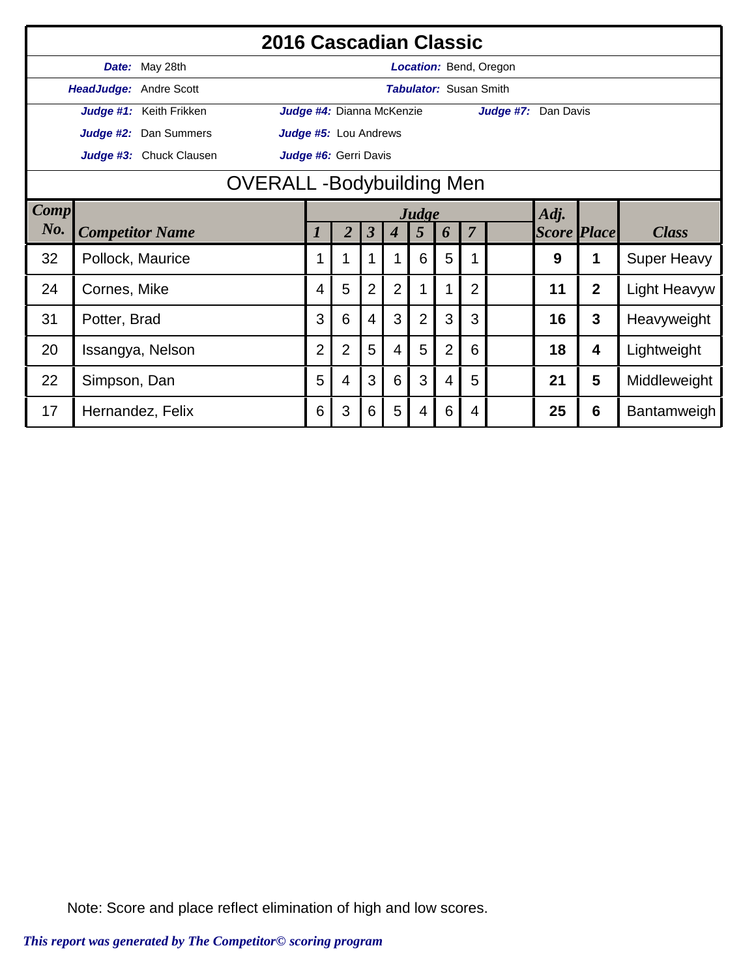|        |              |                               | 2016 Cascadian Classic          |                |                      |                  |                |                               |                |                               |                    |                         |                    |
|--------|--------------|-------------------------------|---------------------------------|----------------|----------------------|------------------|----------------|-------------------------------|----------------|-------------------------------|--------------------|-------------------------|--------------------|
|        |              | Date: May 28th                |                                 |                |                      |                  |                |                               |                | <b>Location: Bend, Oregon</b> |                    |                         |                    |
|        |              | <b>HeadJudge: Andre Scott</b> |                                 |                |                      |                  |                | <b>Tabulator: Susan Smith</b> |                |                               |                    |                         |                    |
|        |              | Judge #1: Keith Frikken       | Judge #4: Dianna McKenzie       |                |                      |                  |                |                               |                | Judge #7: Dan Davis           |                    |                         |                    |
|        |              | Judge #2: Dan Summers         | Judge #5: Lou Andrews           |                |                      |                  |                |                               |                |                               |                    |                         |                    |
|        |              | Judge #3: Chuck Clausen       | Judge #6: Gerri Davis           |                |                      |                  |                |                               |                |                               |                    |                         |                    |
|        |              |                               | <b>OVERALL-Bodybuilding Men</b> |                |                      |                  |                |                               |                |                               |                    |                         |                    |
| Comp   |              |                               | Adj.<br>Judge                   |                |                      |                  |                |                               |                |                               |                    |                         |                    |
| $N0$ . |              | <b>Competitor Name</b>        | 1                               | $\overline{2}$ | $\boldsymbol{\beta}$ | $\boldsymbol{4}$ | 5              | 6                             | $\overline{7}$ |                               | <b>Score Place</b> |                         | <b>Class</b>       |
| 32     |              | Pollock, Maurice              |                                 | 1              | 1                    |                  | 6              | 5                             |                |                               | 9                  | 1                       | <b>Super Heavy</b> |
| 24     | Cornes, Mike |                               | 4                               | 5              | $\overline{2}$       | $\overline{2}$   |                |                               | $\overline{2}$ |                               | 11                 | $\mathbf{2}$            | Light Heavyw       |
| 31     | Potter, Brad |                               | 3                               | 6              | 4                    | 3                | $\overline{2}$ | 3                             | 3              |                               | 16                 | $\mathbf{3}$            | Heavyweight        |
| 20     |              | Issangya, Nelson              | $\overline{2}$                  | $\overline{2}$ | 5                    | 4                | 5              | $\overline{2}$                | 6              |                               | 18                 | $\overline{\mathbf{4}}$ | Lightweight        |
| 22     | Simpson, Dan |                               | 5                               | 4              | 3                    | 6                | 3              | 4                             | 5              |                               | 21                 | 5                       | Middleweight       |
| 17     |              | Hernandez, Felix              | 6                               | 3              | 6                    | 5                | 4              | 6                             | 4              |                               | 25                 | 6                       | Bantamweigh        |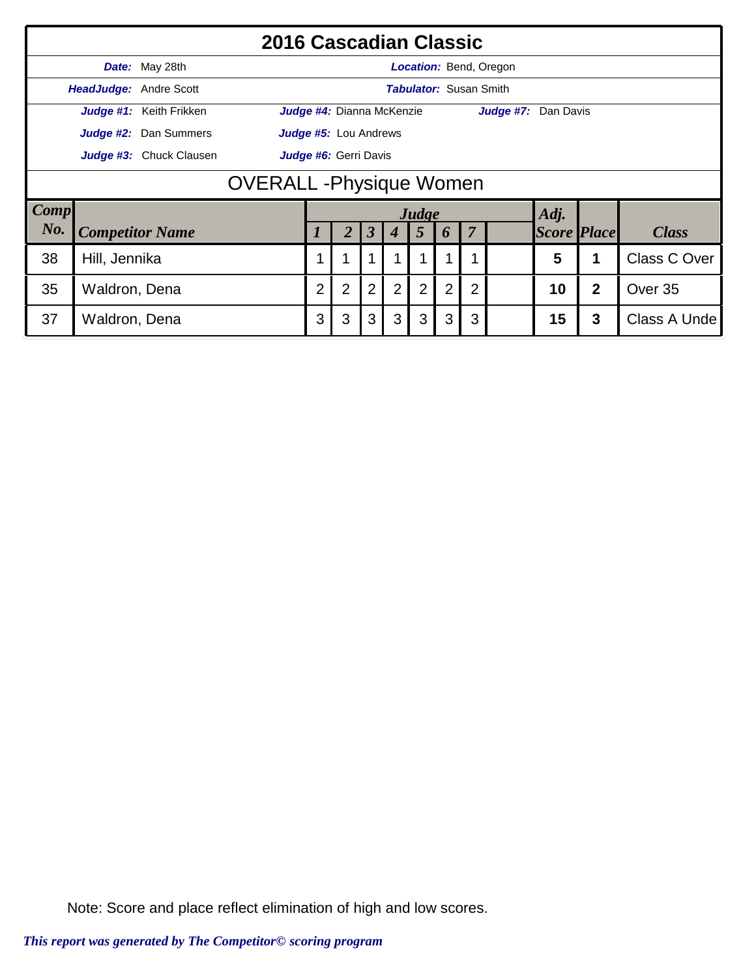|             |                                 | 2016 Cascadian Classic  |                                                                                                                      |                           |                |                  |                |                               |                |                        |                    |   |              |  |  |
|-------------|---------------------------------|-------------------------|----------------------------------------------------------------------------------------------------------------------|---------------------------|----------------|------------------|----------------|-------------------------------|----------------|------------------------|--------------------|---|--------------|--|--|
|             |                                 | <b>Date:</b> May 28th   |                                                                                                                      |                           |                |                  |                |                               |                | Location: Bend, Oregon |                    |   |              |  |  |
|             | <b>HeadJudge: Andre Scott</b>   |                         |                                                                                                                      |                           |                |                  |                | <b>Tabulator: Susan Smith</b> |                |                        |                    |   |              |  |  |
|             |                                 | Judge #1: Keith Frikken |                                                                                                                      | Judge #4: Dianna McKenzie |                |                  |                |                               |                | Judge #7: Dan Davis    |                    |   |              |  |  |
|             |                                 | Judge #2: Dan Summers   |                                                                                                                      | Judge #5: Lou Andrews     |                |                  |                |                               |                |                        |                    |   |              |  |  |
|             |                                 | Judge #3: Chuck Clausen | Judge #6: Gerri Davis                                                                                                |                           |                |                  |                |                               |                |                        |                    |   |              |  |  |
|             | <b>OVERALL</b> - Physique Women |                         |                                                                                                                      |                           |                |                  |                |                               |                |                        |                    |   |              |  |  |
| <b>Comp</b> |                                 |                         |                                                                                                                      |                           |                |                  | Judge          |                               |                |                        | Adj.               |   |              |  |  |
| No.         |                                 | <b>Competitor Name</b>  |                                                                                                                      | 2                         | $\mathfrak{Z}$ | $\boldsymbol{4}$ | $\overline{5}$ | 6                             | $\overline{7}$ |                        | <b>Score Place</b> |   | <b>Class</b> |  |  |
| 38          | Hill, Jennika                   |                         | 5<br><b>Class C Over</b><br>4<br>◢                                                                                   |                           |                |                  |                |                               |                |                        |                    |   |              |  |  |
| 35          | Waldron, Dena                   |                         | $\overline{2}$<br>2<br>$\overline{2}$<br>2<br>$\overline{2}$<br>$\overline{2}$<br>2<br>10<br>$\mathbf{2}$<br>Over 35 |                           |                |                  |                |                               |                |                        |                    |   |              |  |  |
| 37          | Waldron, Dena                   |                         | 3                                                                                                                    | 3                         | 3              | 3                | 3              | 3                             | 3              |                        | 15                 | 3 | Class A Unde |  |  |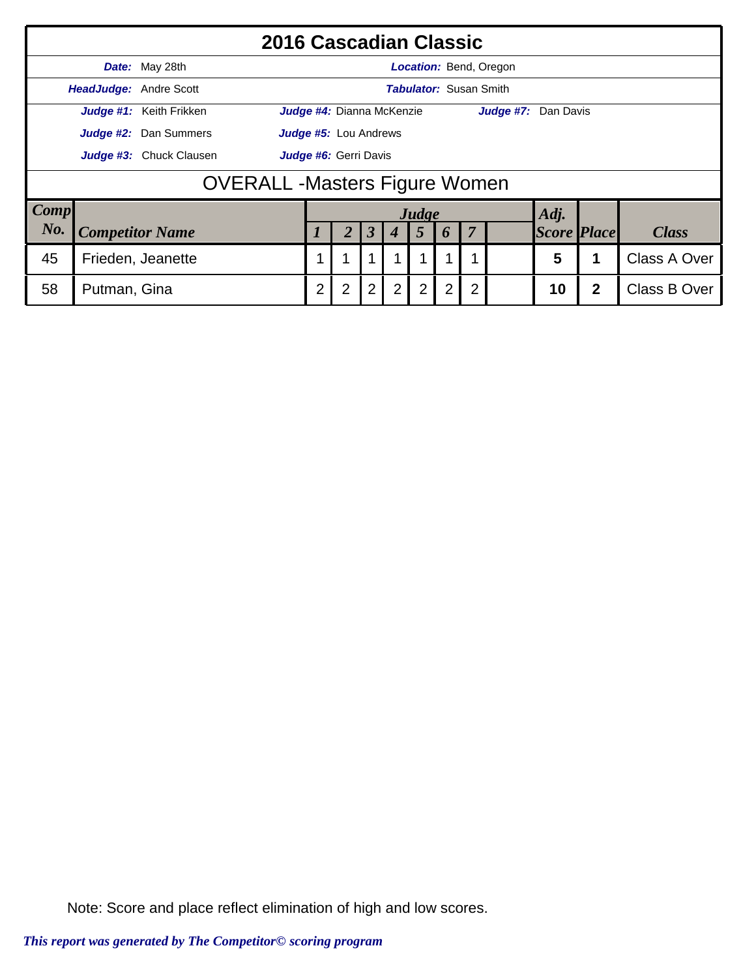|             |                                                  |                               | 2016 Cascadian Classic       |                |                                  |                |   |                |   |                |                               |                    |   |              |  |
|-------------|--------------------------------------------------|-------------------------------|------------------------------|----------------|----------------------------------|----------------|---|----------------|---|----------------|-------------------------------|--------------------|---|--------------|--|
|             |                                                  | Date: May 28th                |                              |                |                                  |                |   |                |   |                | <b>Location:</b> Bend, Oregon |                    |   |              |  |
|             |                                                  | <b>HeadJudge: Andre Scott</b> |                              |                |                                  |                |   |                |   |                | <b>Tabulator: Susan Smith</b> |                    |   |              |  |
|             |                                                  | Judge #1: Keith Frikken       |                              |                | <b>Judge #4:</b> Dianna McKenzie |                |   |                |   |                | Judge #7: Dan Davis           |                    |   |              |  |
|             |                                                  | <b>Judge #2:</b> Dan Summers  | <b>Judge #5:</b> Lou Andrews |                |                                  |                |   |                |   |                |                               |                    |   |              |  |
|             | Judge #3: Chuck Clausen<br>Judge #6: Gerri Davis |                               |                              |                |                                  |                |   |                |   |                |                               |                    |   |              |  |
|             | <b>OVERALL -Masters Figure Women</b>             |                               |                              |                |                                  |                |   |                |   |                |                               |                    |   |              |  |
| <b>Comp</b> |                                                  |                               |                              |                |                                  |                |   | Judge          |   |                |                               | Adj.               |   |              |  |
| No.         |                                                  | <b>Competitor Name</b>        |                              |                |                                  | 3              |   | 5              | 6 | 7              |                               | <b>Score Place</b> |   | <b>Class</b> |  |
| 45          |                                                  | Frieden, Jeanette             |                              |                |                                  |                |   |                |   |                |                               |                    |   | Class A Over |  |
| 58          | Putman, Gina                                     |                               |                              | $\overline{2}$ | 2                                | $\overline{2}$ | 2 | $\overline{2}$ | 2 | $\overline{2}$ |                               | 10                 | 2 | Class B Over |  |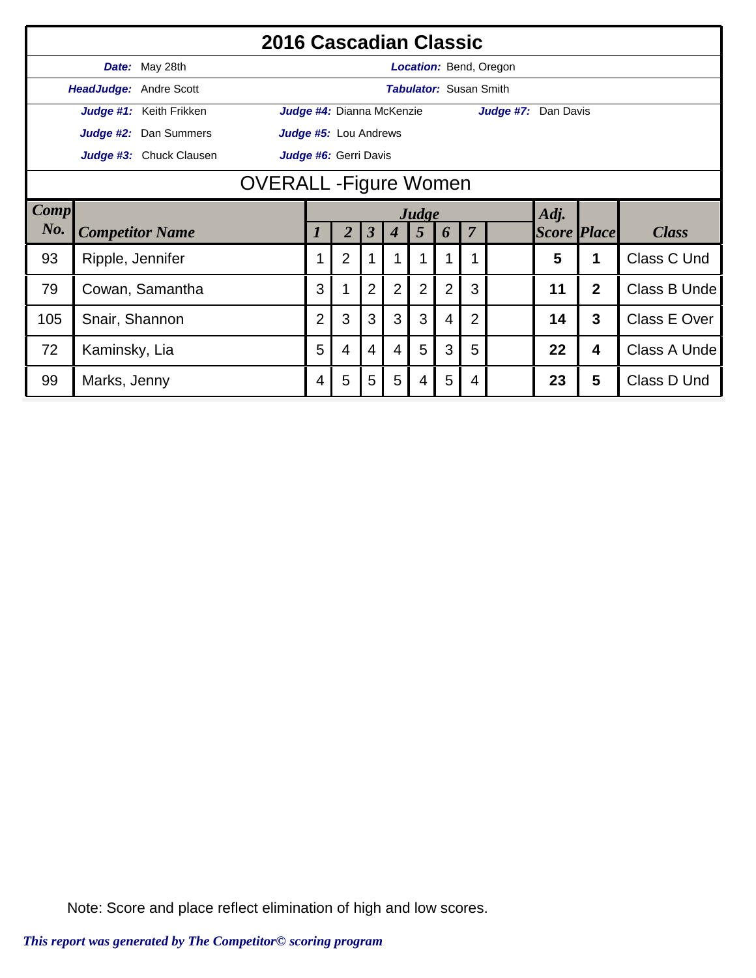|      |                  |                         | 2016 Cascadian Classic        |                |                           |                      |                  |                               |                |                |                               |                    |                  |              |
|------|------------------|-------------------------|-------------------------------|----------------|---------------------------|----------------------|------------------|-------------------------------|----------------|----------------|-------------------------------|--------------------|------------------|--------------|
|      |                  | Date: May 28th          |                               |                |                           |                      |                  |                               |                |                | <b>Location: Bend, Oregon</b> |                    |                  |              |
|      |                  | HeadJudge: Andre Scott  |                               |                |                           |                      |                  | <b>Tabulator: Susan Smith</b> |                |                |                               |                    |                  |              |
|      |                  | Judge #1: Keith Frikken |                               |                | Judge #4: Dianna McKenzie |                      |                  |                               |                |                | Judge #7: Dan Davis           |                    |                  |              |
|      |                  | Judge #2: Dan Summers   |                               |                | Judge #5: Lou Andrews     |                      |                  |                               |                |                |                               |                    |                  |              |
|      |                  | Judge #3: Chuck Clausen |                               |                | Judge #6: Gerri Davis     |                      |                  |                               |                |                |                               |                    |                  |              |
|      |                  |                         | <b>OVERALL</b> - Figure Women |                |                           |                      |                  |                               |                |                |                               |                    |                  |              |
| Comp |                  |                         |                               | Adj.<br>Judge  |                           |                      |                  |                               |                |                |                               |                    |                  |              |
| No.  |                  | <b>Competitor Name</b>  |                               | 1              | $\overline{2}$            | $\boldsymbol{\beta}$ | $\boldsymbol{4}$ | $\overline{5}$                | 6              | $\overline{7}$ |                               | <b>Score Place</b> |                  | <b>Class</b> |
| 93   | Ripple, Jennifer |                         |                               |                | $\overline{2}$            |                      |                  |                               |                |                |                               | 5                  | 1                | Class C Und  |
| 79   |                  | Cowan, Samantha         |                               | 3              | 1                         | $\overline{2}$       | $\overline{2}$   | $\overline{2}$                | $\overline{2}$ | 3              |                               | 11                 | $\overline{2}$   | Class B Unde |
| 105  | Snair, Shannon   |                         |                               | $\overline{2}$ | 3                         | 3                    | 3                | 3                             | 4              | $\overline{2}$ |                               | 14                 | 3                | Class E Over |
| 72   | Kaminsky, Lia    |                         |                               | 5              | 4                         | 4                    | 4                | 5                             | 3              | 5              |                               | 22                 | $\boldsymbol{4}$ | Class A Unde |
| 99   | Marks, Jenny     |                         |                               | 4              | 5                         | 5                    | 5                | 4                             | 5              | 4              |                               | 23                 | 5                | Class D Und  |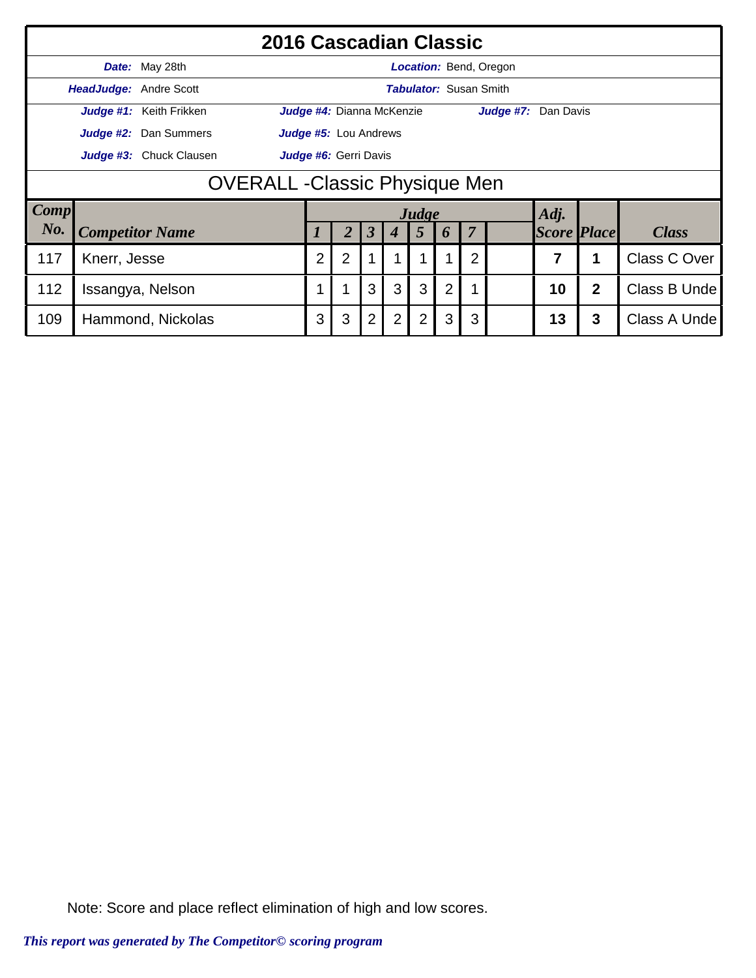|      |                                       | 2016 Cascadian Classic        |                                                                              |                                  |                      |                  |                               |   |                |                        |                    |   |              |  |  |  |
|------|---------------------------------------|-------------------------------|------------------------------------------------------------------------------|----------------------------------|----------------------|------------------|-------------------------------|---|----------------|------------------------|--------------------|---|--------------|--|--|--|
|      |                                       | Date: May 28th                |                                                                              |                                  |                      |                  |                               |   |                | Location: Bend, Oregon |                    |   |              |  |  |  |
|      |                                       | <b>HeadJudge: Andre Scott</b> |                                                                              |                                  |                      |                  | <b>Tabulator: Susan Smith</b> |   |                |                        |                    |   |              |  |  |  |
|      |                                       | Judge #1: Keith Frikken       |                                                                              | <b>Judge #4:</b> Dianna McKenzie |                      |                  |                               |   |                | Judge #7: Dan Davis    |                    |   |              |  |  |  |
|      |                                       | <b>Judge #2:</b> Dan Summers  |                                                                              | <b>Judge #5:</b> Lou Andrews     |                      |                  |                               |   |                |                        |                    |   |              |  |  |  |
|      |                                       | Judge #3: Chuck Clausen       | Judge #6: Gerri Davis                                                        |                                  |                      |                  |                               |   |                |                        |                    |   |              |  |  |  |
|      | <b>OVERALL</b> - Classic Physique Men |                               |                                                                              |                                  |                      |                  |                               |   |                |                        |                    |   |              |  |  |  |
| Comp |                                       |                               |                                                                              |                                  |                      |                  | Judge                         |   |                |                        | Adj.               |   |              |  |  |  |
| No.  |                                       | <b>Competitor Name</b>        |                                                                              | 2                                | $\boldsymbol{\beta}$ | $\boldsymbol{4}$ | $\overline{5}$                | 6 | $\overline{7}$ |                        | <b>Score Place</b> |   | <b>Class</b> |  |  |  |
| 117  | Knerr, Jesse                          |                               | $\overline{2}$                                                               | $\overline{2}$                   |                      |                  |                               |   | $\overline{2}$ |                        | 7                  | 1 | Class C Over |  |  |  |
| 112  |                                       | Issangya, Nelson              | 3<br>3<br>3<br>$2^{\circ}$<br>$\overline{2}$<br>1<br>10<br>Class B Unde<br>1 |                                  |                      |                  |                               |   |                |                        |                    |   |              |  |  |  |
| 109  |                                       | Hammond, Nickolas             | 3                                                                            | 3                                | $\overline{2}$       | $\overline{2}$   | 2                             | 3 | 3              |                        | 13                 | 3 | Class A Unde |  |  |  |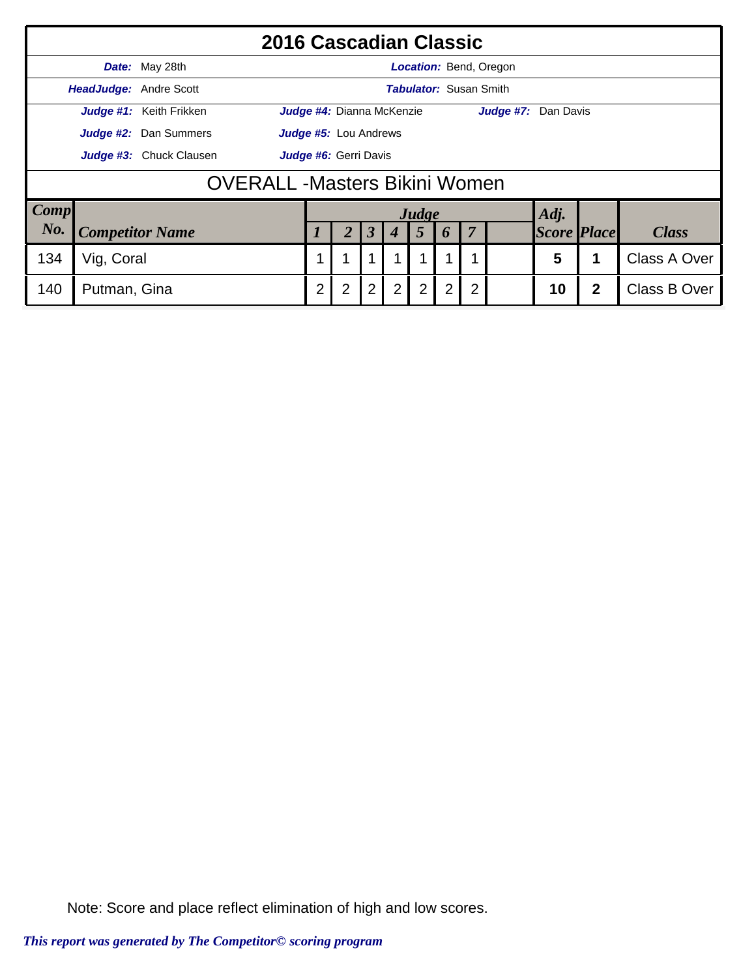|             |                                                  |                               | 2016 Cascadian Classic       |                |                                  |                |                |                               |                |                |                               |                    |             |                     |  |
|-------------|--------------------------------------------------|-------------------------------|------------------------------|----------------|----------------------------------|----------------|----------------|-------------------------------|----------------|----------------|-------------------------------|--------------------|-------------|---------------------|--|
|             |                                                  | <b>Date:</b> May 28th         |                              |                |                                  |                |                |                               |                |                | <b>Location:</b> Bend, Oregon |                    |             |                     |  |
|             |                                                  | <b>HeadJudge:</b> Andre Scott |                              |                |                                  |                |                | <b>Tabulator: Susan Smith</b> |                |                |                               |                    |             |                     |  |
|             |                                                  | Judge #1: Keith Frikken       |                              |                | <b>Judge #4:</b> Dianna McKenzie |                |                |                               |                |                | Judge #7: Dan Davis           |                    |             |                     |  |
|             |                                                  | Judge #2: Dan Summers         | <b>Judge #5:</b> Lou Andrews |                |                                  |                |                |                               |                |                |                               |                    |             |                     |  |
|             | Judge #3: Chuck Clausen<br>Judge #6: Gerri Davis |                               |                              |                |                                  |                |                |                               |                |                |                               |                    |             |                     |  |
|             | <b>OVERALL -Masters Bikini Women</b>             |                               |                              |                |                                  |                |                |                               |                |                |                               |                    |             |                     |  |
| <b>Comp</b> |                                                  |                               |                              |                |                                  |                |                | Judge                         |                |                |                               | Adj.               |             |                     |  |
| No.         |                                                  | <b>Competitor Name</b>        |                              |                |                                  | 3              |                | 5                             | 6              | 7              |                               | <b>Score Place</b> |             | <b>Class</b>        |  |
| 134         | Vig, Coral                                       |                               |                              | 1              |                                  |                |                |                               |                |                |                               |                    |             | <b>Class A Over</b> |  |
| 140         | Putman, Gina                                     |                               |                              | $\overline{2}$ | 2                                | $\overline{2}$ | $\overline{2}$ | 2                             | $\overline{2}$ | $\overline{2}$ |                               | 10                 | $\mathbf 2$ | Class B Over        |  |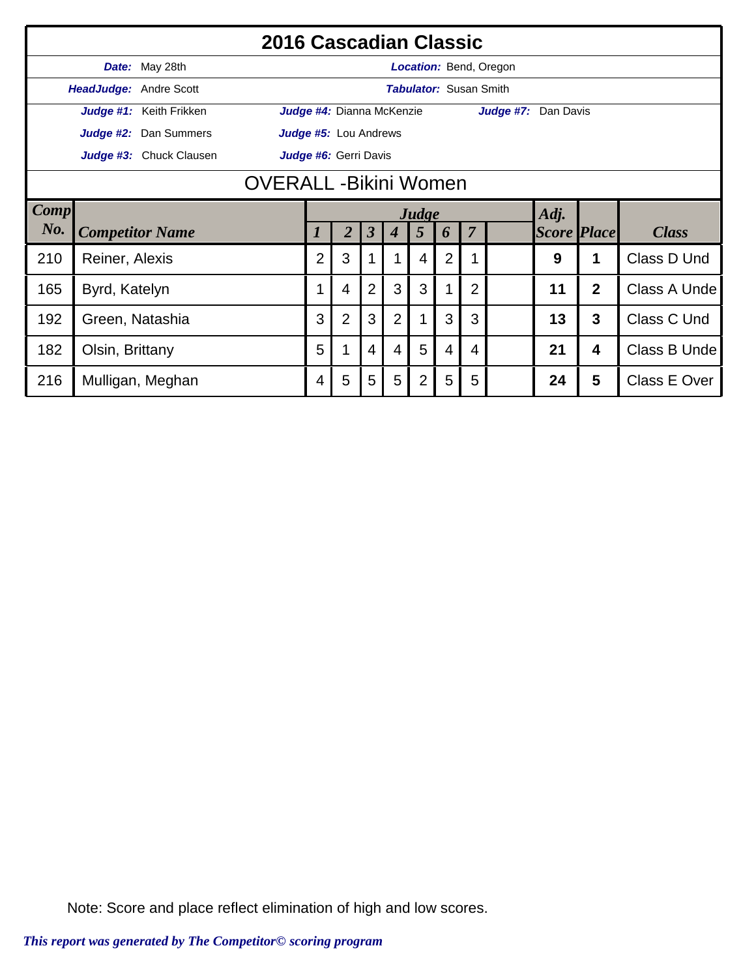|      |                 |                         | 2016 Cascadian Classic       |               |                           |                      |                  |                               |   |                |                               |                    |                         |              |
|------|-----------------|-------------------------|------------------------------|---------------|---------------------------|----------------------|------------------|-------------------------------|---|----------------|-------------------------------|--------------------|-------------------------|--------------|
|      |                 | Date: May 28th          |                              |               |                           |                      |                  |                               |   |                | <b>Location: Bend, Oregon</b> |                    |                         |              |
|      |                 | HeadJudge: Andre Scott  |                              |               |                           |                      |                  | <b>Tabulator: Susan Smith</b> |   |                |                               |                    |                         |              |
|      |                 | Judge #1: Keith Frikken |                              |               | Judge #4: Dianna McKenzie |                      |                  |                               |   |                | Judge #7: Dan Davis           |                    |                         |              |
|      |                 | Judge #2: Dan Summers   |                              |               | Judge #5: Lou Andrews     |                      |                  |                               |   |                |                               |                    |                         |              |
|      |                 | Judge #3: Chuck Clausen |                              |               | Judge #6: Gerri Davis     |                      |                  |                               |   |                |                               |                    |                         |              |
|      |                 |                         | <b>OVERALL -Bikini Women</b> |               |                           |                      |                  |                               |   |                |                               |                    |                         |              |
| Comp |                 |                         |                              | Adj.<br>Judge |                           |                      |                  |                               |   |                |                               |                    |                         |              |
| No.  |                 | <b>Competitor Name</b>  |                              | 1             | 2                         | $\boldsymbol{\beta}$ | $\boldsymbol{4}$ | $\overline{5}$                | 6 | $\overline{7}$ |                               | <b>Score Place</b> |                         | <b>Class</b> |
| 210  | Reiner, Alexis  |                         |                              | 2             | 3                         |                      |                  | 4                             | 2 |                |                               | 9                  | 1                       | Class D Und  |
| 165  | Byrd, Katelyn   |                         |                              |               | 4                         | $\overline{2}$       | 3                | 3                             |   | 2              |                               | 11                 | $\overline{2}$          | Class A Unde |
| 192  | Green, Natashia |                         |                              | 3             | $\overline{2}$            | 3                    | $\overline{2}$   |                               | 3 | 3              |                               | 13                 | 3                       | Class C Und  |
| 182  | Olsin, Brittany |                         |                              | 5             | 1                         | 4                    | 4                | 5                             | 4 | 4              |                               | 21                 | $\overline{\mathbf{4}}$ | Class B Unde |
| 216  |                 | Mulligan, Meghan        |                              | 4             | 5                         | 5                    | 5                | 2                             | 5 | 5              |                               | 24                 | 5                       | Class E Over |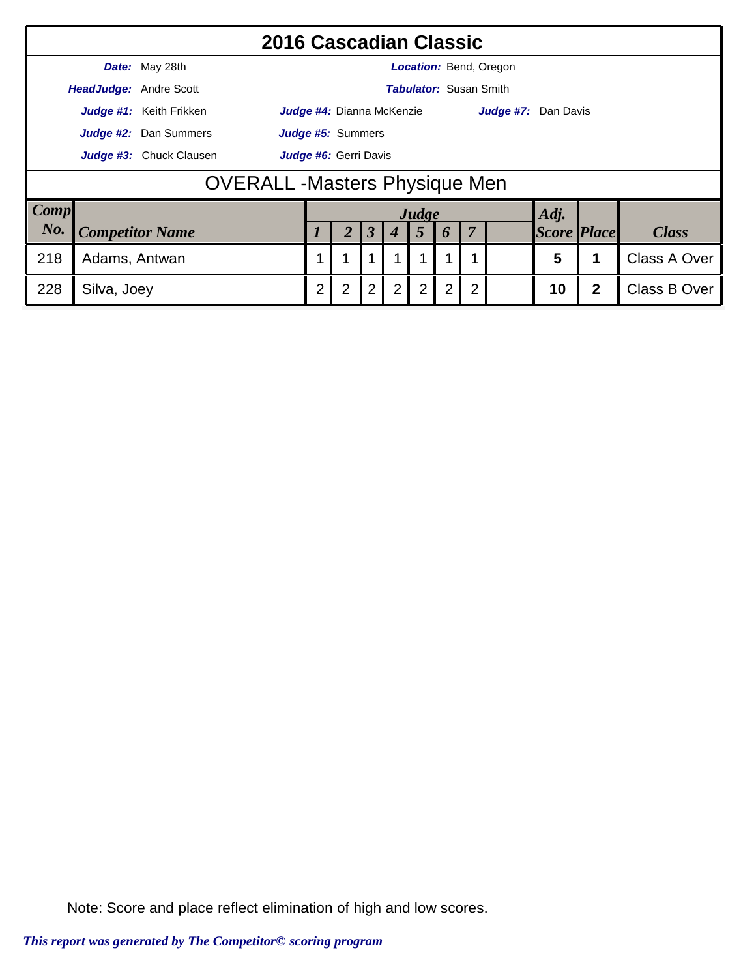|             |                                                  |                               | 2016 Cascadian Classic |   |                           |                      |                |                               |                  |                |                               |                    |              |              |
|-------------|--------------------------------------------------|-------------------------------|------------------------|---|---------------------------|----------------------|----------------|-------------------------------|------------------|----------------|-------------------------------|--------------------|--------------|--------------|
|             |                                                  | Date: May 28th                |                        |   |                           |                      |                |                               |                  |                | <b>Location: Bend, Oregon</b> |                    |              |              |
|             |                                                  | <b>HeadJudge:</b> Andre Scott |                        |   |                           |                      |                | <b>Tabulator: Susan Smith</b> |                  |                |                               |                    |              |              |
|             |                                                  | Judge #1: Keith Frikken       |                        |   | Judge #4: Dianna McKenzie |                      |                |                               |                  |                | Judge #7: Dan Davis           |                    |              |              |
|             |                                                  | Judge #2: Dan Summers         |                        |   | Judge #5: Summers         |                      |                |                               |                  |                |                               |                    |              |              |
|             | Judge #3: Chuck Clausen<br>Judge #6: Gerri Davis |                               |                        |   |                           |                      |                |                               |                  |                |                               |                    |              |              |
|             | <b>OVERALL</b> - Masters Physique Men            |                               |                        |   |                           |                      |                |                               |                  |                |                               |                    |              |              |
| <b>Comp</b> |                                                  |                               |                        |   |                           |                      |                | Judge                         |                  |                |                               | Adi.               |              |              |
| No.         |                                                  | <b>Competitor Name</b>        |                        |   |                           | $\boldsymbol{\beta}$ |                | 5                             | $\boldsymbol{0}$ | $\overline{7}$ |                               | <b>Score Place</b> |              | <b>Class</b> |
| 218         | Adams, Antwan                                    |                               |                        | 1 |                           |                      |                |                               |                  |                |                               |                    |              | Class A Over |
| 228         | Silva, Joey                                      |                               |                        | 2 | 2                         | $\overline{2}$       | $\overline{2}$ | $\overline{2}$                | $\overline{2}$   | $\overline{2}$ |                               | 10                 | $\mathbf{2}$ | Class B Over |